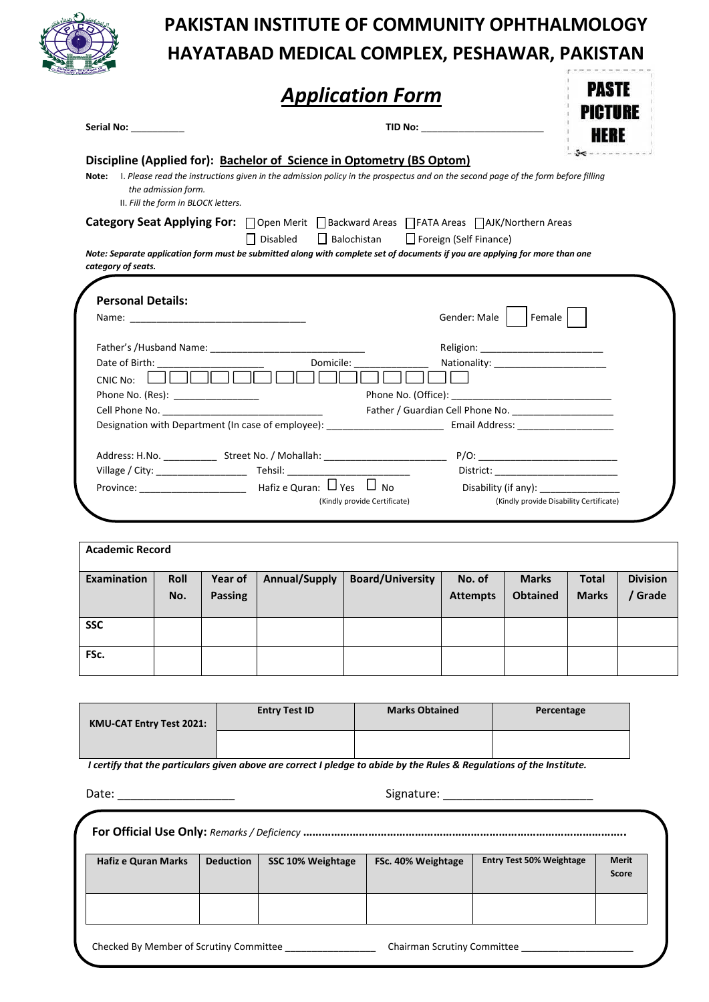

# **PAKISTAN INSTITUTE OF COMMUNITY OPHTHALMOLOGY HAYATABAD MEDICAL COMPLEX, PESHAWAR, PAKISTAN**

**PASTE** 

|--|

| Serial No: ____________                                             |                                                                       |                                                                                                                                   |                                      |  |  |
|---------------------------------------------------------------------|-----------------------------------------------------------------------|-----------------------------------------------------------------------------------------------------------------------------------|--------------------------------------|--|--|
|                                                                     | Discipline (Applied for): Bachelor of Science in Optometry (BS Optom) |                                                                                                                                   |                                      |  |  |
| Note:<br>the admission form.<br>II. Fill the form in BLOCK letters. |                                                                       | I. Please read the instructions given in the admission policy in the prospectus and on the second page of the form before filling |                                      |  |  |
|                                                                     |                                                                       | Category Seat Applying For: □ Open Merit □ Backward Areas □ FATA Areas □ AJK/Northern Areas                                       |                                      |  |  |
|                                                                     | Balochistan<br>    Disabled                                           | Foreign (Self Finance)                                                                                                            |                                      |  |  |
|                                                                     |                                                                       | Note: Separate application form must be submitted along with complete set of documents if you are applying for more than one      |                                      |  |  |
| category of seats.                                                  |                                                                       |                                                                                                                                   |                                      |  |  |
|                                                                     |                                                                       |                                                                                                                                   |                                      |  |  |
| <b>Personal Details:</b>                                            |                                                                       |                                                                                                                                   |                                      |  |  |
|                                                                     |                                                                       | Gender: Male                                                                                                                      | Female                               |  |  |
|                                                                     |                                                                       |                                                                                                                                   | Religion: __________________________ |  |  |
| Date of Birth: Note of Birth:                                       | Domicile:                                                             |                                                                                                                                   |                                      |  |  |
| <b>CNIC No:</b>                                                     |                                                                       |                                                                                                                                   |                                      |  |  |
| Phone No. (Res): _________________                                  |                                                                       |                                                                                                                                   |                                      |  |  |
|                                                                     |                                                                       | Father / Guardian Cell Phone No. [19] Mathematical Phone No.                                                                      |                                      |  |  |
|                                                                     |                                                                       | Designation with Department (In case of employee): ______________________________ Email Address: _____________                    |                                      |  |  |
|                                                                     |                                                                       |                                                                                                                                   |                                      |  |  |
|                                                                     |                                                                       |                                                                                                                                   |                                      |  |  |
|                                                                     |                                                                       |                                                                                                                                   | District: _________________________  |  |  |
|                                                                     |                                                                       |                                                                                                                                   |                                      |  |  |
|                                                                     |                                                                       |                                                                                                                                   |                                      |  |  |

| <b>Academic Record</b> |                    |                           |               |                         |                           |                                 |                              |                          |
|------------------------|--------------------|---------------------------|---------------|-------------------------|---------------------------|---------------------------------|------------------------------|--------------------------|
| Examination            | <b>Roll</b><br>No. | Year of<br><b>Passing</b> | Annual/Supply | <b>Board/University</b> | No. of<br><b>Attempts</b> | <b>Marks</b><br><b>Obtained</b> | <b>Total</b><br><b>Marks</b> | <b>Division</b><br>Grade |
| <b>SSC</b>             |                    |                           |               |                         |                           |                                 |                              |                          |
| FSc.                   |                    |                           |               |                         |                           |                                 |                              |                          |

| <b>KMU-CAT Entry Test 2021:</b> | <b>Entry Test ID</b> | <b>Marks Obtained</b> | Percentage |
|---------------------------------|----------------------|-----------------------|------------|
|                                 |                      |                       |            |

*I certify that the particulars given above are correct I pledge to abide by the Rules & Regulations of the Institute.*

|                                         | Date: _______________ |                   |                    |                                 |                |  |  |
|-----------------------------------------|-----------------------|-------------------|--------------------|---------------------------------|----------------|--|--|
|                                         |                       |                   |                    |                                 |                |  |  |
| <b>Hafiz e Quran Marks</b>              | <b>Deduction</b>      | SSC 10% Weightage | FSc. 40% Weightage | <b>Entry Test 50% Weightage</b> | Merit<br>Score |  |  |
|                                         |                       |                   |                    |                                 |                |  |  |
| Checked By Member of Scrutiny Committee |                       |                   |                    | Chairman Scrutiny Committee     |                |  |  |